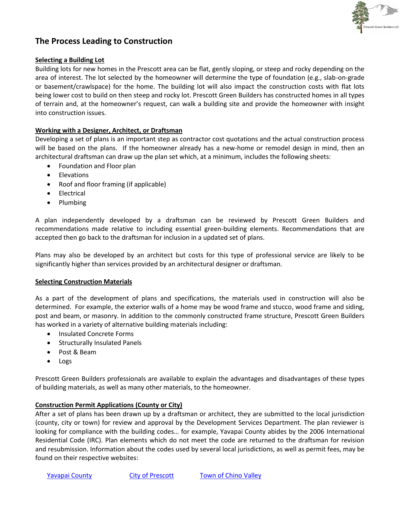

# **The Process Leading to Construction**

### **Selecting a Building Lot**

Building lots for new homes in the Prescott area can be flat, gently sloping, or steep and rocky depending on the area of interest. The lot selected by the homeowner will determine the type of foundation (e.g., slab-on-grade or basement/crawlspace) for the home. The building lot will also impact the construction costs with flat lots being lower cost to build on then steep and rocky lot. Prescott Green Builders has constructed homes in all types of terrain and, at the homeowner's request, can walk a building site and provide the homeowner with insight into construction issues.

# **Working with a Designer, Architect, or Draftsman**

Developing a set of plans is an important step as contractor cost quotations and the actual construction process will be based on the plans. If the homeowner already has a new-home or remodel design in mind, then an architectural draftsman can draw up the plan set which, at a minimum, includes the following sheets:

- Foundation and Floor plan
- Elevations
- Roof and floor framing (if applicable)
- **•** Electrical
- Plumbing

A plan independently developed by a draftsman can be reviewed by Prescott Green Builders and recommendations made relative to including essential green-building elements. Recommendations that are accepted then go back to the draftsman for inclusion in a updated set of plans.

Plans may also be developed by an architect but costs for this type of professional service are likely to be significantly higher than services provided by an architectural designer or draftsman.

### **Selecting Construction Materials**

As a part of the development of plans and specifications, the materials used in construction will also be determined. For example, the exterior walls of a home may be wood frame and stucco, wood frame and siding, post and beam, or masonry. In addition to the commonly constructed frame structure, Prescott Green Builders has worked in a variety of alternative building materials including:

- Insulated Concrete Forms
- **•** Structurally Insulated Panels
- Post & Beam
- Logs

Prescott Green Builders professionals are available to explain the advantages and disadvantages of these types of building materials, as well as many other materials, to the homeowner.

### **Construction Permit Applications (County or City)**

After a set of plans has been drawn up by a draftsman or architect, they are submitted to the local jurisdiction (county, city or town) for review and approval by the Development Services Department. The plan reviewer is looking for compliance with the building codes… for example, Yavapai County abides by the 2006 International Residential Code (IRC). Plan elements which do not meet the code are returned to the draftsman for revision and resubmission. Information about the codes used by several local jurisdictions, as well as permit fees, may be found on their respective websites: